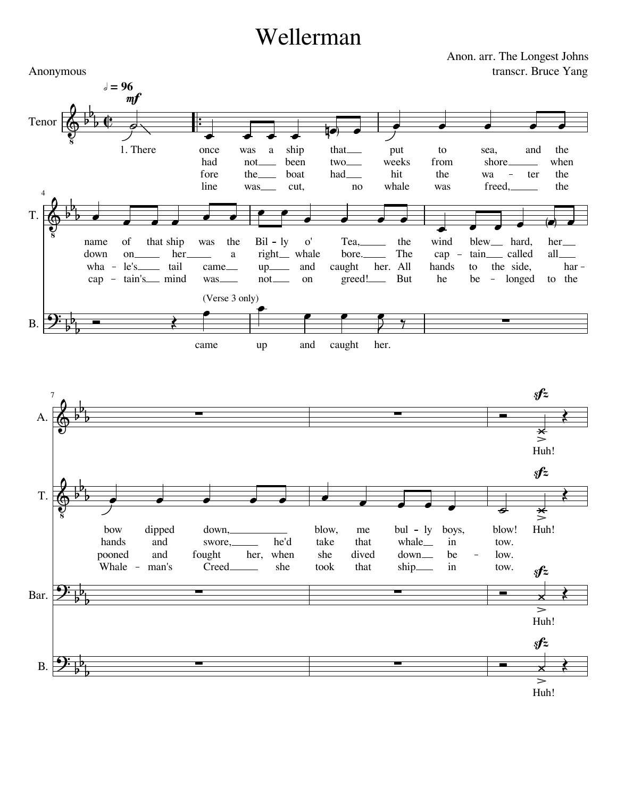## Wellerman

4

T.

B.

 $\overline{\bullet}$  $\overline{\bullet}$ Anon. arr. The Longest Johns transcr. Bruce Yang Anonymous 7 T. Tenor A.  $\frac{1}{\cdot}$  $\frac{1}{2}$  ,  $\frac{1}{2}$  ,  $\frac{1}{2}$  $\bullet$   $\bullet$   $\bullet$   $\bullet$   $\bullet$   $\bullet$  $\bullet$   $\bullet$   $\bullet$   $\bullet$  $\overrightarrow{a}$  and  $\overrightarrow{a}$  and  $\overrightarrow{a}$  and  $\overrightarrow{a}$  $\bullet$  (c)  $\bullet$  $\frac{1}{2}$  ,  $\frac{1}{2}$  ,  $\frac{1}{2}$  $\overrightarrow{0}$  $\rightarrow$   $\rightarrow$   $\rightarrow$   $\rightarrow$  $\bullet$   $\bullet$  $\overline{\phantom{0}}$   $\overline{\phantom{a}}$  $\overrightarrow{a}$  $\overrightarrow{a}$   $\overrightarrow{a}$   $\overrightarrow{a}$  $\overline{\phantom{a}}$  $\overrightarrow{a}$   $\overrightarrow{a}$   $\overrightarrow{a}$  $\phi$  $\frac{1}{2}$  $9: \frac{1}{10}$  –  $\Phi^{\mathfrak{p}}$  $\oint^b$  $\oint_{\mathbb{R}}$  b  $\oint_{\mathbb{R}}$  $\oint$   $\oint$   $\oint$  $\overline{\phantom{0}}$  $b_{\perp}$  $\flat_{b}^{\flat}$  $\overline{b}$  $b_{\overline{L}}$  $\frac{b}{b}$  $\frac{1}{2}$  $\frac{1}{2}$  $b^b$  $\frac{1}{2}$  $b_{\overline{L}}$  $\flat^{\flat}$  $\overline{b}$  $b_{\perp}$  $\frac{b}{b}$  $\overline{\mathfrak{e}}$  and  $\frac{1}{\sqrt{2}}$  $\overrightarrow{y}$  $\left\langle \right\rangle$   $s f z$  $m f$  $s f z$  $\frac{1}{\sqrt{2}}$ came up and caught her. low. blow! Huh! tow. be down boys, in  $bul - ly$ whale dived she me that blow, take — he'd<br>her, when fought down, swore, and pooned dipped and bow hands to the all har her be - longed to tain<sub>called</sub> al to the side, blew<sub>—</sub> hard, he cap hands But The All her. the wind greed! bore. caught Tea, the when the the ter freed, shore wa sea, and was from hit the put to no whale two<sub>\_\_\_</sub> weeks had that on right<sub>—</sub> whale and not  $up$ <sub> $\overline{\phantom{aa}}$ </sub>  $Bil - ly$  o' was\_\_\_\_\_ came\_\_ a cap - tain's mind w her wha - le's\_\_\_\_ tail was the on down name of that cut, been boat was not the was a ship line had fore 1. There once Huh!  $= 96$ (Verse 3 only)



Huh!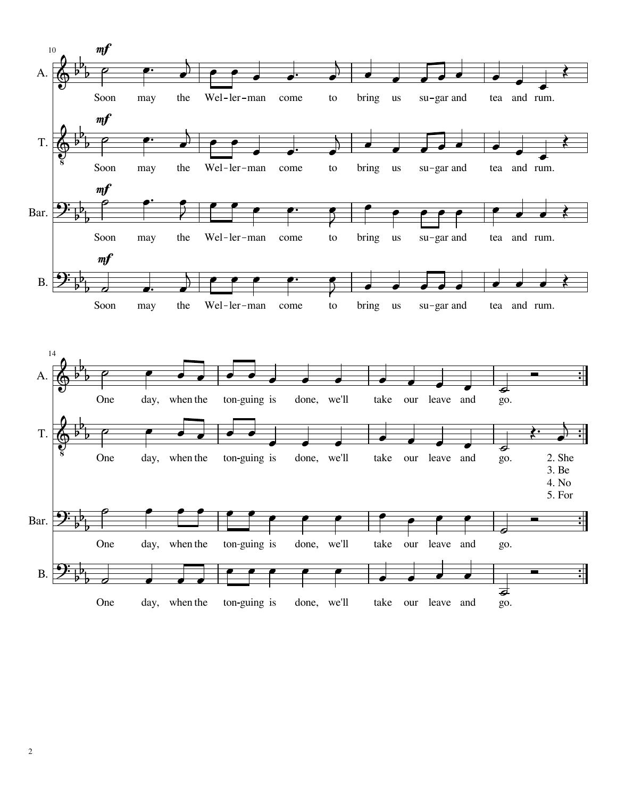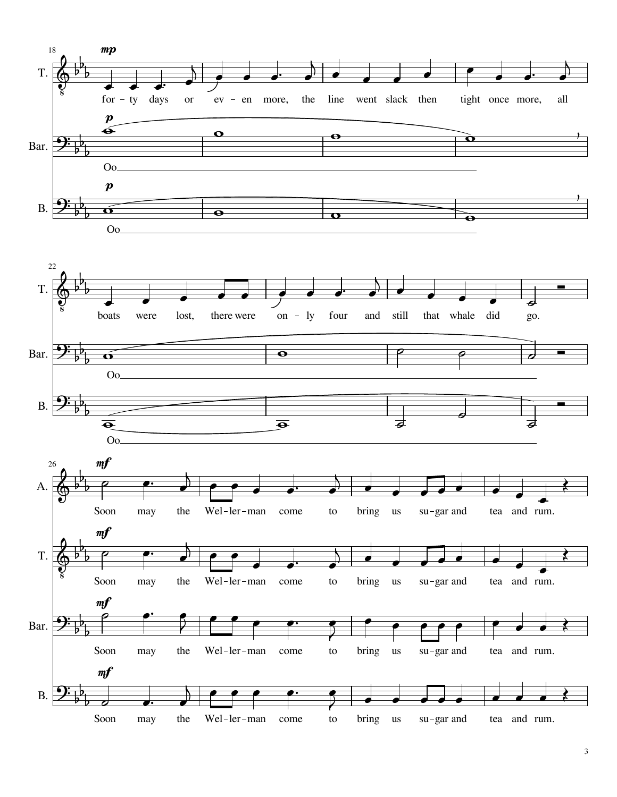

<sup>3</sup>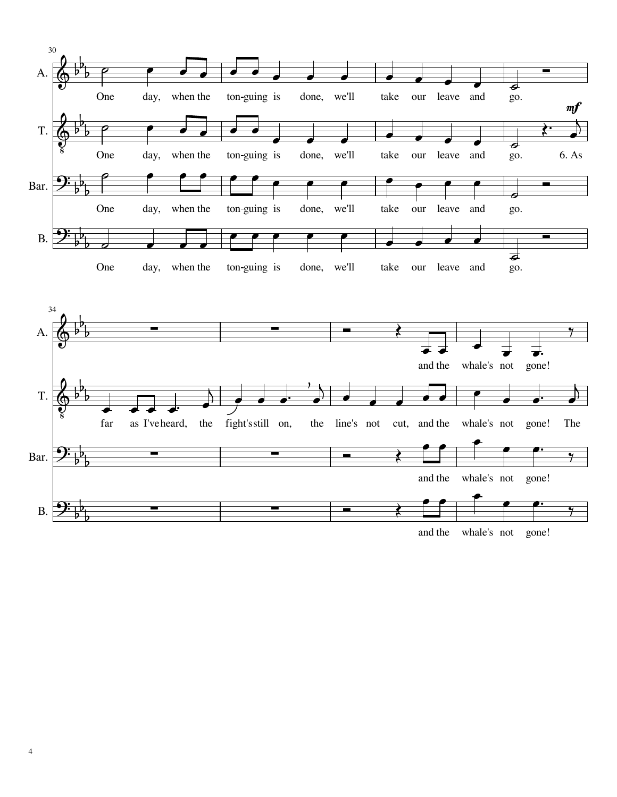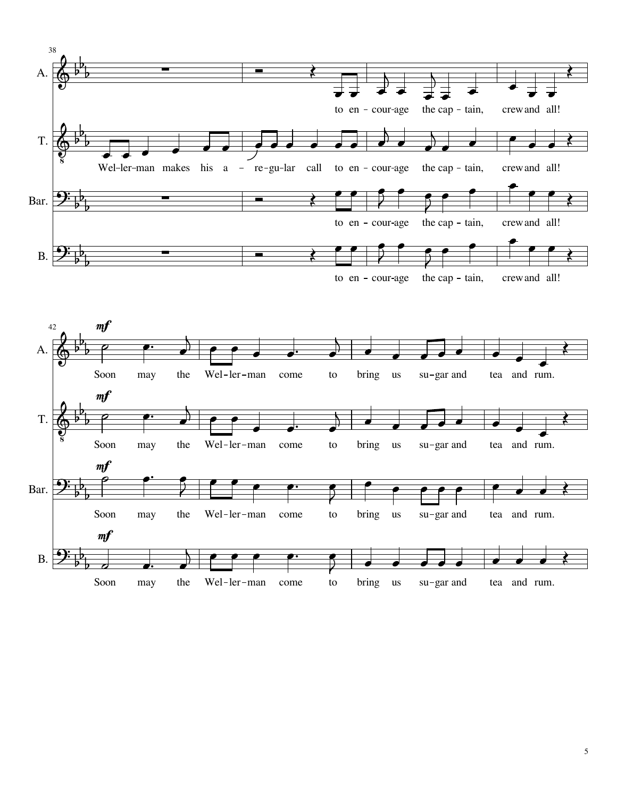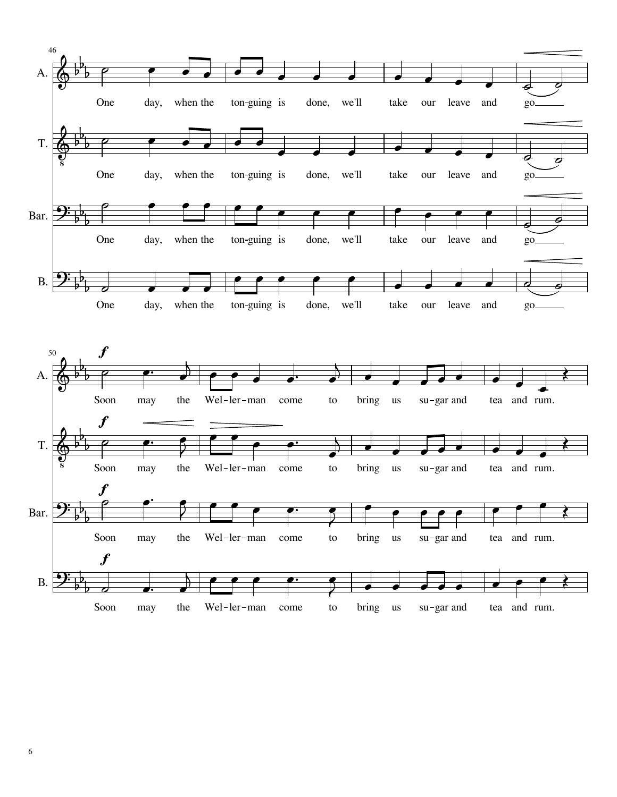